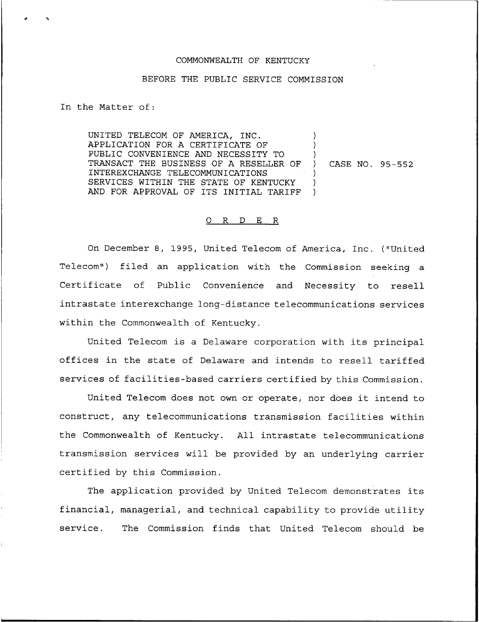## COMMONWEALTH OF KENTUCKY

## BEFORE THE PUBLIC SERVICE COMMISSION

In the Matter of:

UNITED TELECOM OF AMERICA, INC. APPLICATION FOR A CERTIFICATE OF PUBLIC CONVENIENCE AND NECESSITY TO TRANSACT THE BUSINESS OF A RESELLER OF INTEREXCHANGE TELECOMMUNICATIONS SERVICES WITHIN THE STATE OF KENTUCKY AND FOR APPROVAL OF ITS INITIAL TARIFF ) ) ) ) CASE NO. 95-552 ) ) )

## 0 R <sup>D</sup> E R

On December 8, 1995, United Telecom of America, Inc. {"United Telecom") filed an application with the Commission seeking a Certificate of Public Convenience and Necessity to resell intrastate interexchange long-distance telecommunications services within the Commonwealth of Kentucky.

United Telecom is <sup>a</sup> Delaware corporation with its principal offices in the state of Delaware and intends to resell tariffed services of facilities-based carriers certified by this Commission.

United Telecom does not own or operate, nor does it intend to construct, any telecommunications transmission facilities within the Commonwealth of Kentucky. All intrastate telecommunications transmission services will be provided by an underlying carrier certified by this Commission.

The application provided by United Telecom demonstrates its financial, managerial, and technical capability to provide utility service. The Commission finds that United Telecom should be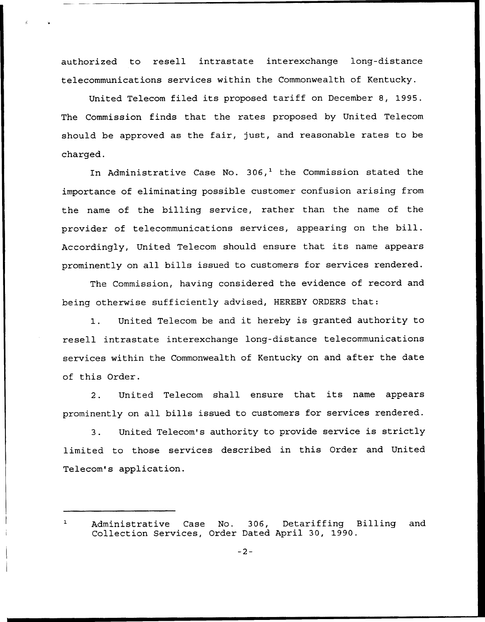authorized to resell intrastate interexchange long-distance telecommunications services within the Commonwealth of Kentucky.

United Telecom filed its proposed tariff on December 8, 1995. The Commission finds that the rates proposed by United Telecom should be approved as the fair, just, and reasonable rates to be charged.

In Administrative Case No. 306,<sup>1</sup> the Commission stated the importance of eliminating possible customer confusion arising from the name of the billing service, rather than the name of the provider of telecommunications services, appearing on the bill. Accordingly, United Telecom should ensure that its name appears prominently on all bills issued to customers for services rendered.

The Commission, having considered the evidence of record and being otherwise sufficiently advised, HEREBY ORDERS that:

1. United Telecom be and it hereby is granted authority to resell intrastate interexchange long-distance telecommunications services within the Commonwealth of Kentucky on and after the date of this Order.

2. United Telecom shall ensure that its name appears prominently on all bills issued to customers for services rendered.

3. United Telecom's authority to provide service is strictly limited to those services described in this Order and United Telecom's application.

 $\mathbf{1}$ Administrative Case No. 306, Detariffing Billing and Collection Services, Order Dated April 30, 1990.